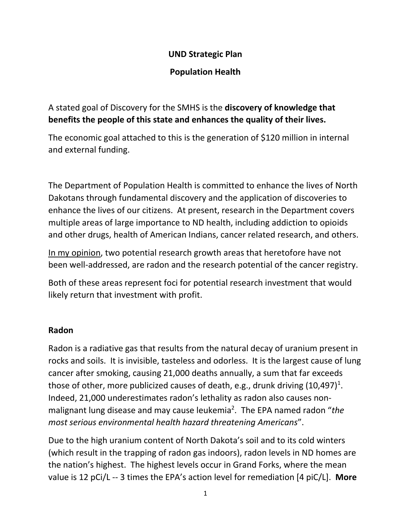#### **UND Strategic Plan**

### **Population Health**

A stated goal of Discovery for the SMHS is the **discovery of knowledge that benefits the people of this state and enhances the quality of their lives.**

The economic goal attached to this is the generation of \$120 million in internal and external funding.

The Department of Population Health is committed to enhance the lives of North Dakotans through fundamental discovery and the application of discoveries to enhance the lives of our citizens. At present, research in the Department covers multiple areas of large importance to ND health, including addiction to opioids and other drugs, health of American Indians, cancer related research, and others.

In my opinion, two potential research growth areas that heretofore have not been well-addressed, are radon and the research potential of the cancer registry.

Both of these areas represent foci for potential research investment that would likely return that investment with profit.

### **Radon**

Radon is a radiative gas that results from the natural decay of uranium present in rocks and soils. It is invisible, tasteless and odorless. It is the largest cause of lung cancer after smoking, causing 21,000 deaths annually, a sum that far exceeds those of other, more publicized causes of death, e.g., drunk driving  $(10,497)^{1}$ . Indeed, 21,000 underestimates radon's lethality as radon also causes nonmalignant lung disease and may cause leukemia<sup>2</sup>. The EPA named radon "the *most serious environmental health hazard threatening Americans*".

Due to the high uranium content of North Dakota's soil and to its cold winters (which result in the trapping of radon gas indoors), radon levels in ND homes are the nation's highest. The highest levels occur in Grand Forks, where the mean value is 12 pCi/L -- 3 times the EPA's action level for remediation [4 piC/L]. **More**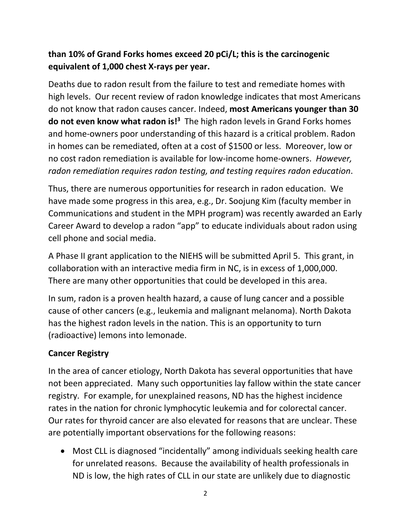# **than 10% of Grand Forks homes exceed 20 pCi/L; this is the carcinogenic equivalent of 1,000 chest X-rays per year.**

Deaths due to radon result from the failure to test and remediate homes with high levels. Our recent review of radon knowledge indicates that most Americans do not know that radon causes cancer. Indeed, **most Americans younger than 30 do not even know what radon is!<sup>3</sup> The high radon levels in Grand Forks homes** and home-owners poor understanding of this hazard is a critical problem. Radon in homes can be remediated, often at a cost of \$1500 or less. Moreover, low or no cost radon remediation is available for low-income home-owners. *However, radon remediation requires radon testing, and testing requires radon education*.

Thus, there are numerous opportunities for research in radon education. We have made some progress in this area, e.g., Dr. Soojung Kim (faculty member in Communications and student in the MPH program) was recently awarded an Early Career Award to develop a radon "app" to educate individuals about radon using cell phone and social media.

A Phase II grant application to the NIEHS will be submitted April 5. This grant, in collaboration with an interactive media firm in NC, is in excess of 1,000,000. There are many other opportunities that could be developed in this area.

In sum, radon is a proven health hazard, a cause of lung cancer and a possible cause of other cancers (e.g., leukemia and malignant melanoma). North Dakota has the highest radon levels in the nation. This is an opportunity to turn (radioactive) lemons into lemonade.

# **Cancer Registry**

In the area of cancer etiology, North Dakota has several opportunities that have not been appreciated. Many such opportunities lay fallow within the state cancer registry. For example, for unexplained reasons, ND has the highest incidence rates in the nation for chronic lymphocytic leukemia and for colorectal cancer. Our rates for thyroid cancer are also elevated for reasons that are unclear. These are potentially important observations for the following reasons:

• Most CLL is diagnosed "incidentally" among individuals seeking health care for unrelated reasons. Because the availability of health professionals in ND is low, the high rates of CLL in our state are unlikely due to diagnostic